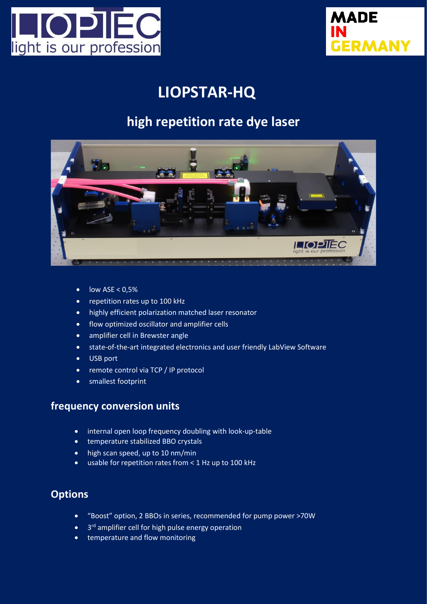



# **LIOPSTAR-HQ**

## **high repetition rate dye laser**



- $\bullet$  low ASE < 0,5%
- repetition rates up to 100 kHz
- highly efficient polarization matched laser resonator
- flow optimized oscillator and amplifier cells
- amplifier cell in Brewster angle
- state-of-the-art integrated electronics and user friendly LabView Software
- USB port
- remote control via TCP / IP protocol
- smallest footprint

#### **frequency conversion units**

- internal open loop frequency doubling with look-up-table
- temperature stabilized BBO crystals
- high scan speed, up to 10 nm/min
- usable for repetition rates from < 1 Hz up to 100 kHz

#### **Options**

- "Boost" option, 2 BBOs in series, recommended for pump power >70W
- 3<sup>rd</sup> amplifier cell for high pulse energy operation
- temperature and flow monitoring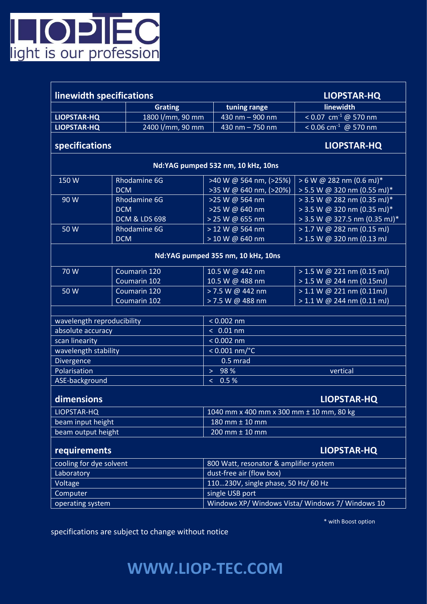

| linewidth specifications<br><b>LIOPSTAR-HQ</b> |                          |                                                  |                                  |
|------------------------------------------------|--------------------------|--------------------------------------------------|----------------------------------|
|                                                | <b>Grating</b>           | tuning range                                     | linewidth                        |
| <b>LIOPSTAR-HQ</b>                             | 1800 l/mm, 90 mm         | 430 nm - 900 nm                                  | < 0.07 cm <sup>-1</sup> @ 570 nm |
| <b>LIOPSTAR-HQ</b>                             | 2400 l/mm, 90 mm         | 430 nm - 750 nm                                  | < 0.06 cm <sup>-1</sup> @ 570 nm |
| specifications                                 |                          |                                                  | <b>LIOPSTAR-HQ</b>               |
| Nd:YAG pumped 532 nm, 10 kHz, 10ns             |                          |                                                  |                                  |
| 150W                                           | <b>Rhodamine 6G</b>      | >40 W @ 564 nm, (>25%)                           | $> 6 W @ 282 nm (0.6 mJ)*$       |
|                                                | <b>DCM</b>               | >35 W @ 640 nm, (>20%)                           | > 5.5 W @ 320 nm (0.55 mJ)*      |
| 90 W                                           | Rhodamine 6G             | >25 W @ 564 nm                                   | $>$ 3.5 W @ 282 nm (0.35 mJ)*    |
|                                                | <b>DCM</b>               | >25 W @ 640 nm                                   | > 3.5 W @ 320 nm (0.35 mJ)*      |
|                                                | <b>DCM &amp; LDS 698</b> | > 25 W @ 655 nm                                  | $>$ 3.5 W @ 327.5 nm (0.35 mJ)*  |
| 50 W                                           | <b>Rhodamine 6G</b>      | > 12 W @ 564 nm                                  | > 1.7 W @ 282 nm (0.15 mJ)       |
|                                                | <b>DCM</b>               | > 10 W @ 640 nm                                  | > 1.5 W @ 320 nm (0.13 mJ        |
| Nd:YAG pumped 355 nm, 10 kHz, 10ns             |                          |                                                  |                                  |
| 70 W                                           | Coumarin 120             | 10.5 W @ 442 nm                                  | $> 1.5$ W @ 221 nm (0.15 mJ)     |
|                                                | Coumarin 102             | 10.5 W @ 488 nm                                  | $> 1.5$ W @ 244 nm (0.15mJ)      |
| 50 W                                           | Coumarin 120             | > 7.5 W @ 442 nm                                 | $>1.1$ W @ 221 nm (0.11mJ)       |
|                                                | Coumarin 102             | > 7.5 W @ 488 nm                                 | > 1.1 W @ 244 nm (0.11 ml)       |
|                                                |                          |                                                  |                                  |
| wavelength reproducibility                     |                          | $< 0.002$ nm                                     |                                  |
| absolute accuracy                              |                          | $< 0.01$ nm                                      |                                  |
| scan linearity                                 |                          | $< 0.002$ nm                                     |                                  |
| wavelength stability                           |                          | $< 0.001$ nm/ $°C$                               |                                  |
| Divergence                                     |                          | $0.5$ mrad                                       |                                  |
| Polarisation                                   |                          | > 98%<br>vertical                                |                                  |
| ASE-background                                 |                          | < 0.5 %                                          |                                  |
| dimensions<br><b>LIOPSTAR-HQ</b>               |                          |                                                  |                                  |
| LIOPSTAR-HQ                                    |                          | 1040 mm x 400 mm x 300 mm ± 10 mm, 80 kg         |                                  |
| beam input height                              |                          | 180 mm ± 10 mm                                   |                                  |
| beam output height                             |                          | 200 mm ± 10 mm                                   |                                  |
| requirements<br><b>LIOPSTAR-HQ</b>             |                          |                                                  |                                  |
| cooling for dye solvent                        |                          | 800 Watt, resonator & amplifier system           |                                  |
| Laboratory                                     |                          | dust-free air (flow box)                         |                                  |
| Voltage                                        |                          | 110230V, single phase, 50 Hz/ 60 Hz              |                                  |
| Computer                                       |                          | single USB port                                  |                                  |
| operating system                               |                          | Windows XP/ Windows Vista/ Windows 7/ Windows 10 |                                  |

\* with Boost option

specifications are subject to change without notice

# **WWW.LIOP-TEC.COM**